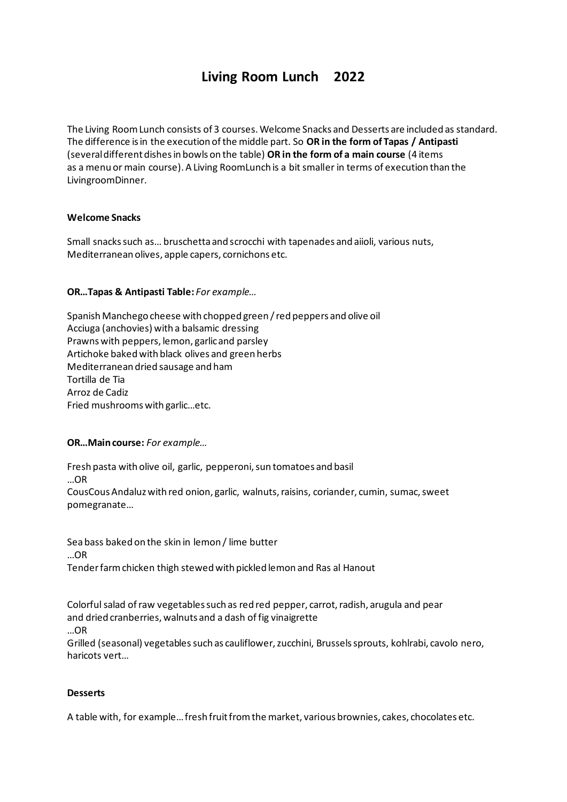## **Living Room Lunch 2022**

The Living Room Lunch consists of 3 courses. Welcome Snacks and Desserts are included as standard. The difference is in the execution of the middle part. So **OR in the form of Tapas / Antipasti** (several different dishes in bowls on the table) **OR in the form of a main course** (4 items as a menu or main course). A Living RoomLunch is a bit smaller in terms of execution than the LivingroomDinner.

## **Welcome Snacks**

Small snacks such as… bruschetta and scrocchi with tapenades and aiioli, various nuts, Mediterranean olives, apple capers, cornichons etc.

## **OR…Tapas & Antipasti Table:** *For example…*

Spanish Manchego cheese with chopped green / red peppers and olive oil Acciuga (anchovies) with a balsamic dressing Prawns with peppers, lemon, garlic and parsley Artichoke baked with black olives and green herbs Mediterranean dried sausage and ham Tortilla de Tia Arroz de Cadiz Fried mushrooms with garlic…etc.

**OR…Main course:** *For example…*

Fresh pasta with olive oil, garlic, pepperoni, sun tomatoes and basil …OR CousCous Andaluz with red onion, garlic, walnuts, raisins, coriander, cumin, sumac, sweet pomegranate…

Sea bass baked on the skin in lemon / lime butter …OR Tender farm chicken thigh stewed with pickled lemon and Ras al Hanout

Colorful salad of raw vegetables such as red red pepper, carrot, radish, arugula and pear and dried cranberries, walnuts and a dash of fig vinaigrette …OR Grilled (seasonal) vegetables such as cauliflower, zucchini, Brussels sprouts, kohlrabi, cavolo nero, haricots vert…

## **Desserts**

A table with, for example… fresh fruit from the market, various brownies, cakes, chocolates etc.